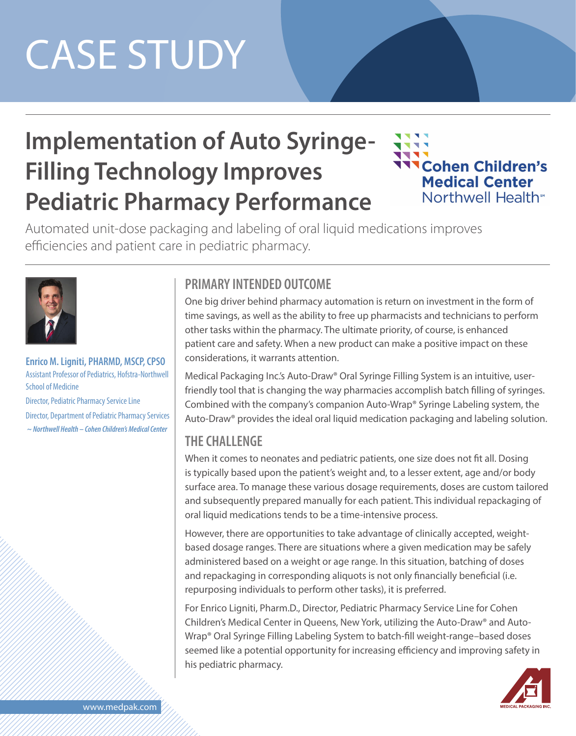# CASE STUDY

# **Implementation of Auto Syringe-Filling Technology Improves Pediatric Pharmacy Performance**



Automated unit-dose packaging and labeling of oral liquid medications improves efficiencies and patient care in pediatric pharmacy.



**Enrico M. Ligniti, PHARMD, MSCP, CPSO** Assistant Professor of Pediatrics, Hofstra-Northwell School of Medicine Director, Pediatric Pharmacy Service Line Director, Department of Pediatric Pharmacy Services  *~ Northwell Health – Cohen Children's Medical Center*

### **PRIMARY INTENDED OUTCOME**

One big driver behind pharmacy automation is return on investment in the form of time savings, as well as the ability to free up pharmacists and technicians to perform other tasks within the pharmacy. The ultimate priority, of course, is enhanced patient care and safety. When a new product can make a positive impact on these considerations, it warrants attention.

Medical Packaging Inc.'s Auto-Draw® Oral Syringe Filling System is an intuitive, userfriendly tool that is changing the way pharmacies accomplish batch filling of syringes. Combined with the company's companion Auto-Wrap® Syringe Labeling system, the Auto-Draw® provides the ideal oral liquid medication packaging and labeling solution.

### **THE CHALLENGE**

When it comes to neonates and pediatric patients, one size does not fit all. Dosing is typically based upon the patient's weight and, to a lesser extent, age and/or body surface area. To manage these various dosage requirements, doses are custom tailored and subsequently prepared manually for each patient. This individual repackaging of oral liquid medications tends to be a time-intensive process.

However, there are opportunities to take advantage of clinically accepted, weightbased dosage ranges. There are situations where a given medication may be safely administered based on a weight or age range. In this situation, batching of doses and repackaging in corresponding aliquots is not only financially beneficial (i.e. repurposing individuals to perform other tasks), it is preferred.

For Enrico Ligniti, Pharm.D., Director, Pediatric Pharmacy Service Line for Cohen Children's Medical Center in Queens, New York, utilizing the Auto-Draw® and Auto-Wrap® Oral Syringe Filling Labeling System to batch-fill weight-range–based doses seemed like a potential opportunity for increasing efficiency and improving safety in his pediatric pharmacy.

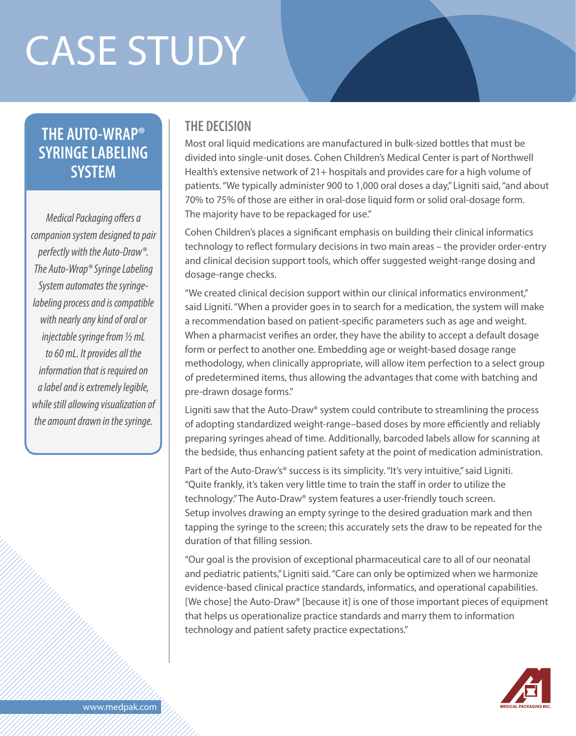# CASE STUDY

## **THE AUTO-WRAP® SYRINGE LABELING SYSTEM**

*Medical Packaging offers a companion system designed to pair perfectly with the Auto-Draw®. The Auto-Wrap® Syringe Labeling System automates the syringelabeling process and is compatible with nearly any kind of oral or injectable syringe from ½ mL to 60 mL. It provides all the information that is required on a label and is extremely legible, while still allowing visualization of the amount drawn in the syringe.*

#### **THE DECISION**

Most oral liquid medications are manufactured in bulk-sized bottles that must be divided into single-unit doses. Cohen Children's Medical Center is part of Northwell Health's extensive network of 21+ hospitals and provides care for a high volume of patients. "We typically administer 900 to 1,000 oral doses a day," Ligniti said, "and about 70% to 75% of those are either in oral-dose liquid form or solid oral-dosage form. The majority have to be repackaged for use."

Cohen Children's places a significant emphasis on building their clinical informatics technology to reflect formulary decisions in two main areas – the provider order-entry and clinical decision support tools, which offer suggested weight-range dosing and dosage-range checks.

"We created clinical decision support within our clinical informatics environment," said Ligniti. "When a provider goes in to search for a medication, the system will make a recommendation based on patient-specific parameters such as age and weight. When a pharmacist verifies an order, they have the ability to accept a default dosage form or perfect to another one. Embedding age or weight-based dosage range methodology, when clinically appropriate, will allow item perfection to a select group of predetermined items, thus allowing the advantages that come with batching and pre-drawn dosage forms."

Ligniti saw that the Auto-Draw® system could contribute to streamlining the process of adopting standardized weight-range–based doses by more efficiently and reliably preparing syringes ahead of time. Additionally, barcoded labels allow for scanning at the bedside, thus enhancing patient safety at the point of medication administration.

Part of the Auto-Draw's<sup>®</sup> success is its simplicity. "It's very intuitive," said Ligniti. "Quite frankly, it's taken very little time to train the staff in order to utilize the technology." The Auto-Draw® system features a user-friendly touch screen. Setup involves drawing an empty syringe to the desired graduation mark and then tapping the syringe to the screen; this accurately sets the draw to be repeated for the duration of that filling session.

"Our goal is the provision of exceptional pharmaceutical care to all of our neonatal and pediatric patients," Ligniti said. "Care can only be optimized when we harmonize evidence-based clinical practice standards, informatics, and operational capabilities. [We chose] the Auto-Draw® [because it] is one of those important pieces of equipment that helps us operationalize practice standards and marry them to information technology and patient safety practice expectations."